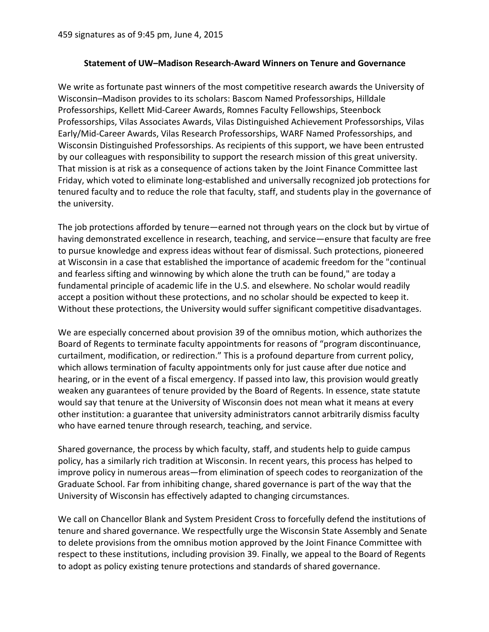## **Statement of UW–Madison Research-Award Winners on Tenure and Governance**

We write as fortunate past winners of the most competitive research awards the University of Wisconsin–Madison provides to its scholars: Bascom Named Professorships, Hilldale Professorships, Kellett Mid-Career Awards, Romnes Faculty Fellowships, Steenbock Professorships, Vilas Associates Awards, Vilas Distinguished Achievement Professorships, Vilas Early/Mid-Career Awards, Vilas Research Professorships, WARF Named Professorships, and Wisconsin Distinguished Professorships. As recipients of this support, we have been entrusted by our colleagues with responsibility to support the research mission of this great university. That mission is at risk as a consequence of actions taken by the Joint Finance Committee last Friday, which voted to eliminate long-established and universally recognized job protections for tenured faculty and to reduce the role that faculty, staff, and students play in the governance of the university.

The job protections afforded by tenure—earned not through years on the clock but by virtue of having demonstrated excellence in research, teaching, and service—ensure that faculty are free to pursue knowledge and express ideas without fear of dismissal. Such protections, pioneered at Wisconsin in a case that established the importance of academic freedom for the "continual and fearless sifting and winnowing by which alone the truth can be found," are today a fundamental principle of academic life in the U.S. and elsewhere. No scholar would readily accept a position without these protections, and no scholar should be expected to keep it. Without these protections, the University would suffer significant competitive disadvantages.

We are especially concerned about provision 39 of the omnibus motion, which authorizes the Board of Regents to terminate faculty appointments for reasons of "program discontinuance, curtailment, modification, or redirection." This is a profound departure from current policy, which allows termination of faculty appointments only for just cause after due notice and hearing, or in the event of a fiscal emergency. If passed into law, this provision would greatly weaken any guarantees of tenure provided by the Board of Regents. In essence, state statute would say that tenure at the University of Wisconsin does not mean what it means at every other institution: a guarantee that university administrators cannot arbitrarily dismiss faculty who have earned tenure through research, teaching, and service.

Shared governance, the process by which faculty, staff, and students help to guide campus policy, has a similarly rich tradition at Wisconsin. In recent years, this process has helped to improve policy in numerous areas—from elimination of speech codes to reorganization of the Graduate School. Far from inhibiting change, shared governance is part of the way that the University of Wisconsin has effectively adapted to changing circumstances.

We call on Chancellor Blank and System President Cross to forcefully defend the institutions of tenure and shared governance. We respectfully urge the Wisconsin State Assembly and Senate to delete provisions from the omnibus motion approved by the Joint Finance Committee with respect to these institutions, including provision 39. Finally, we appeal to the Board of Regents to adopt as policy existing tenure protections and standards of shared governance.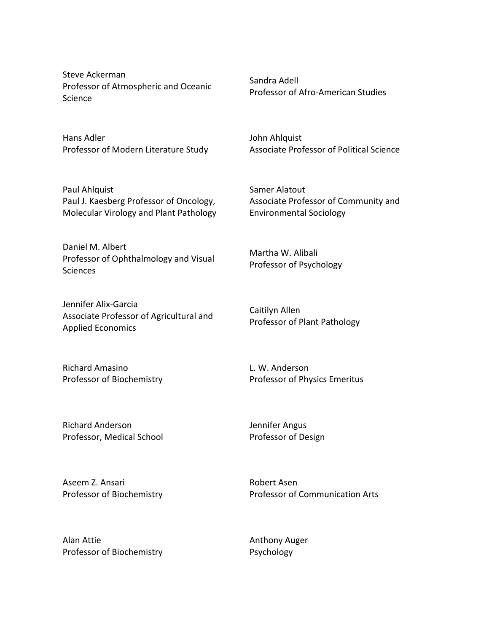Steve Ackerman Professor of Atmospheric and Oceanic Science

Hans Adler Professor of Modern Literature Study

Paul Ahlquist Paul J. Kaesberg Professor of Oncology, Molecular Virology and Plant Pathology

Daniel M. Albert Professor of Ophthalmology and Visual **Sciences** 

Jennifer Alix-Garcia Associate Professor of Agricultural and Applied Economics

Richard Amasino Professor of Biochemistry Sandra Adell Professor of Afro-American Studies

John Ahlquist Associate Professor of Political Science

Samer Alatout Associate Professor of Community and Environmental%Sociology

Martha W. Alibali Professor of Psychology

Caitilyn Allen Professor of Plant Pathology

L. W. Anderson Professor of Physics Emeritus

Richard Anderson Professor, Medical School Jennifer Angus Professor of Design

Aseem Z. Ansari Professor of Biochemistry Robert Asen Professor of Communication Arts

Alan Attie Professor of Biochemistry Anthony Auger Psychology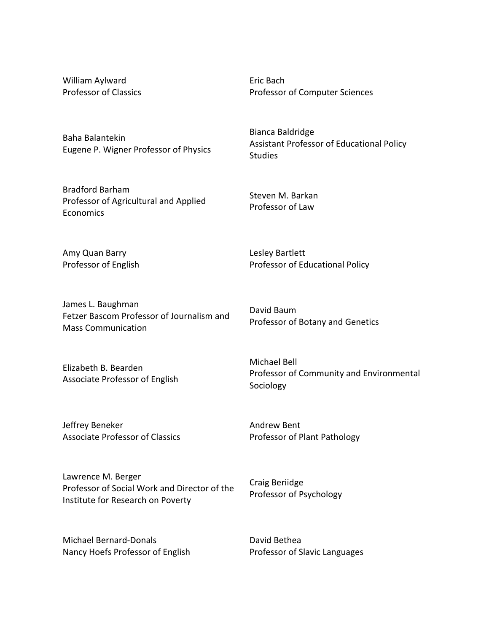William Aylward Professor of Classics Eric Bach Professor of Computer Sciences

Assistant Professor of Educational Policy

Bianca Baldridge

Steven M. Barkan Professor of Law

Lesley Bartlett

David Baum

Professor of Educational Policy

Professor of Botany and Genetics

Studies

Baha Balantekin Eugene P. Wigner Professor of Physics

Bradford Barham Professor of Agricultural and Applied Economics

Amy Quan Barry Professor of English

James L. Baughman Fetzer Bascom Professor of Journalism and **Mass Communication** 

Elizabeth B. Bearden Associate Professor of English Michael Bell Professor of Community and Environmental Sociology

Jeffrey Beneker Associate Professor of Classics Andrew Bent Professor of Plant Pathology

Craig Beriidge

Lawrence M. Berger Professor of Social Work and Director of the Institute for Research on Poverty

Michael Bernard-Donals Nancy Hoefs Professor of English David Bethea

Professor of Slavic Languages

Professor of Psychology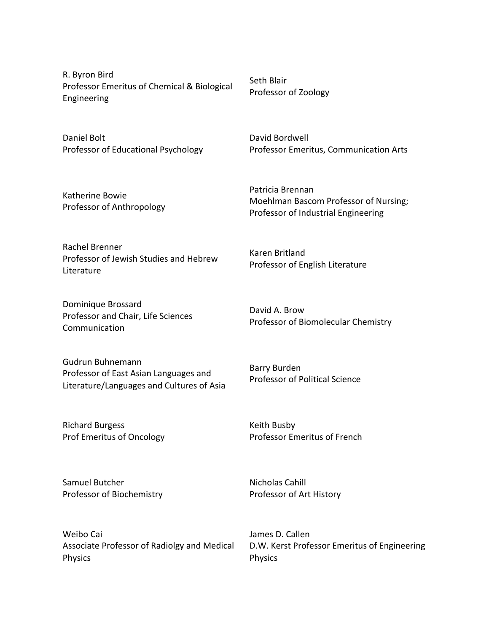R. Byron Bird Professor Emeritus of Chemical & Biological Engineering

Daniel Bolt Professor of Educational Psychology

Katherine Bowie Professor of Anthropology Seth Blair Professor of Zoology

Karen Britland

David A. Brow

David Bordwell Professor Emeritus, Communication Arts

Patricia Brennan Moehlman Bascom Professor of Nursing; Professor of Industrial Engineering

Rachel Brenner Professor of Jewish Studies and Hebrew **Literature** 

Dominique Brossard Professor and Chair, Life Sciences Communication

Gudrun Buhnemann Professor of East Asian Languages and Literature/Languages and Cultures of Asia

Richard Burgess Prof Emeritus of Oncology

Samuel Butcher Professor of Biochemistry

Weibo Cai Associate Professor of Radiolgy and Medical Physics

Professor of Biomolecular Chemistry

Barry Burden Professor of Political Science

Professor of English Literature

Keith Busby Professor Emeritus of French

Nicholas Cahill Professor of Art History

James D. Callen D.W. Kerst Professor Emeritus of Engineering Physics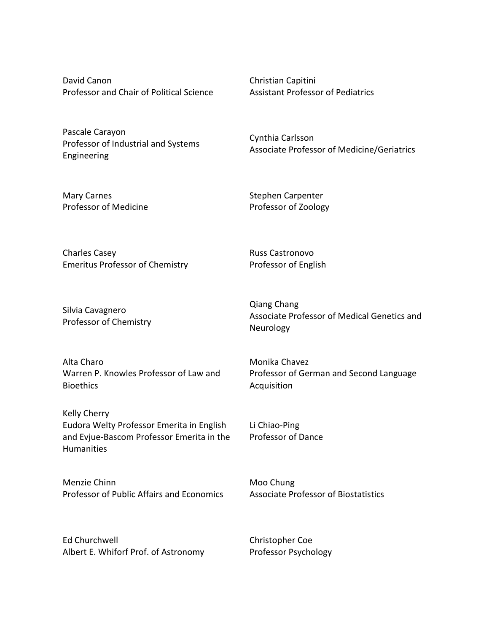David Canon Professor and Chair of Political Science

Pascale Carayon Professor of Industrial and Systems Engineering

Christian Capitini Assistant Professor of Pediatrics

Cynthia Carlsson Associate Professor of Medicine/Geriatrics

Mary Carnes Professor of Medicine Stephen Carpenter Professor of Zoology

Russ Castronovo Professor of English

Neurology

Charles Casey Emeritus Professor of Chemistry

Silvia Cavagnero Professor of Chemistry

Alta Charo Warren P. Knowles Professor of Law and **Bioethics** 

Kelly Cherry Eudora Welty Professor Emerita in English and Evjue-Bascom Professor Emerita in the Humanities

Menzie Chinn Professor of Public Affairs and Economics

Ed Churchwell Albert E. Whiforf Prof. of Astronomy Qiang Chang Associate Professor of Medical Genetics and

Monika Chavez Professor of German and Second Language Acquisition

Li Chiao-Ping Professor of Dance

Moo Chung Associate Professor of Biostatistics

Christopher Coe Professor Psychology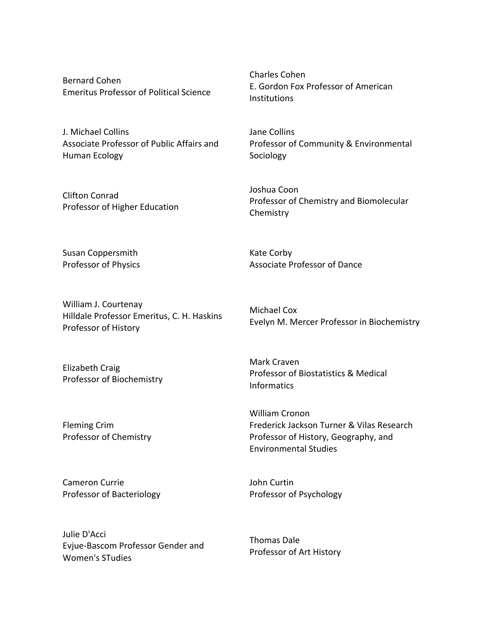Bernard Cohen Emeritus Professor of Political Science

J. Michael Collins Associate Professor of Public Affairs and Human Ecology

Clifton Conrad Professor of Higher Education Charles Cohen E. Gordon Fox Professor of American **Institutions** 

Jane Collins Professor of Community & Environmental Sociology

Joshua Coon Professor of Chemistry and Biomolecular **Chemistry** 

Kate Corby

Susan Coppersmith Professor of Physics

William J. Courtenay Hilldale Professor Emeritus, C. H. Haskins Professor of History

Michael Cox Evelyn M. Mercer Professor in Biochemistry

Elizabeth Craig Professor of Biochemistry

Professor of Chemistry

Professor of Bacteriology

Fleming Crim

Cameron Currie

Mark Craven Professor of Biostatistics & Medical Informatics

Associate Professor of Dance

William Cronon Frederick Jackson Turner & Vilas Research Professor of History, Geography, and Environmental Studies

John Curtin Professor of Psychology

Julie D'Acci Evjue-Bascom Professor Gender and Women's STudies

Thomas Dale Professor of Art History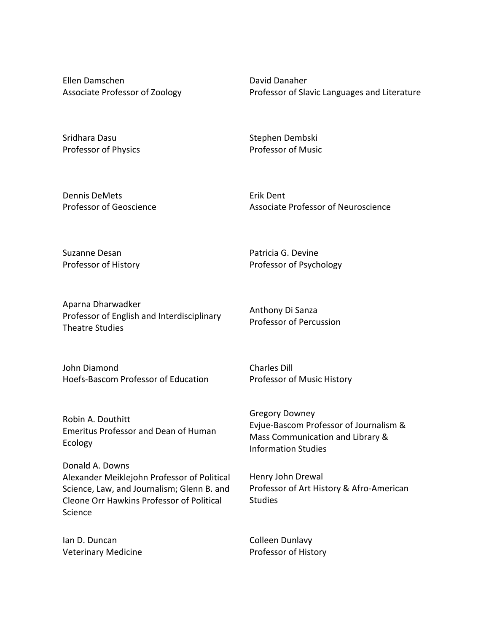Ellen Damschen Associate Professor of Zoology David Danaher Professor of Slavic Languages and Literature

Sridhara Dasu Professor of Physics Stephen Dembski Professor of Music

Dennis DeMets Professor of Geoscience Erik Dent Associate Professor of Neuroscience

Suzanne Desan Professor of History Patricia G. Devine Professor of Psychology

Aparna Dharwadker Professor of English and Interdisciplinary Theatre Studies

Anthony Di Sanza Professor of Percussion

Professor of Music History

Charles Dill

John Diamond Hoefs-Bascom Professor of Education

Robin A. Douthitt Emeritus Professor and Dean of Human Ecology

Donald A. Downs Alexander Meiklejohn Professor of Political Science, Law, and Journalism; Glenn B. and Cleone Orr Hawkins Professor of Political Science

Ian D. Duncan **Veterinary Medicine**  Gregory Downey Evjue-Bascom Professor of Journalism & Mass Communication and Library & Information Studies

Henry John Drewal Professor of Art History & Afro-American **Studies** 

Colleen Dunlavy Professor of History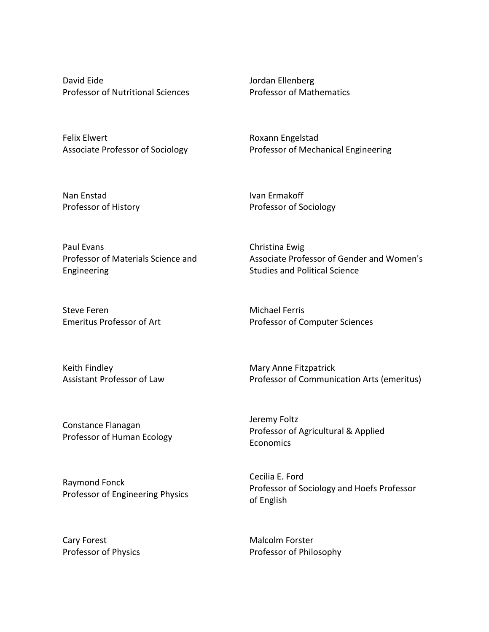David Eide Professor of Nutritional Sciences Jordan Ellenberg Professor of Mathematics

Felix Elwert Associate Professor of Sociology Roxann Engelstad Professor of Mechanical Engineering

Nan Enstad Professor of History Ivan Ermakoff Professor of Sociology

Christina Ewig

Jeremy Foltz

**Economics** 

Paul Evans Professor of Materials Science and Engineering

Steve Feren Emeritus Professor of Art

Keith Findley Assistant Professor of Law Michael Ferris Professor of Computer Sciences

Studies and Political Science

Mary%Anne Fitzpatrick Professor of Communication Arts (emeritus)

Associate Professor of Gender and Women's

Constance Flanagan Professor of Human Ecology

Raymond Fonck Professor of Engineering Physics

Cary Forest Professor of Physics Cecilia E. Ford Professor of Sociology and Hoefs Professor of English

Professor of Agricultural & Applied

Malcolm Forster Professor of Philosophy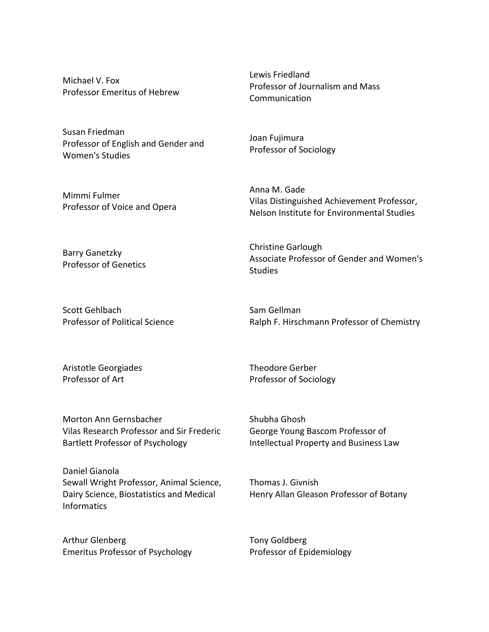Michael V. Fox Professor Emeritus of Hebrew

Susan Friedman Professor of English and Gender and Women's Studies

Mimmi Fulmer Professor of Voice and Opera Lewis Friedland Professor of Journalism and Mass Communication

Joan Fujimura Professor of Sociology

Christine Garlough

Anna M. Gade Vilas Distinguished Achievement Professor, Nelson Institute for Environmental Studies

Barry Ganetzky Professor of Genetics

Associate Professor of Gender and Women's **Studies** 

Scott Gehlbach Professor of Political Science Sam Gellman Ralph F. Hirschmann Professor of Chemistry

Aristotle Georgiades Professor of Art

Theodore Gerber Professor of Sociology

Morton%Ann Gernsbacher Vilas Research Professor and Sir Frederic Bartlett Professor of Psychology

Daniel Gianola Sewall Wright Professor, Animal Science, Dairy Science, Biostatistics and Medical **Informatics** 

Arthur Glenberg Emeritus Professor of Psychology Shubha Ghosh George Young Bascom Professor of Intellectual Property and Business Law

Thomas J. Givnish Henry Allan Gleason Professor of Botany

Tony Goldberg Professor of Epidemiology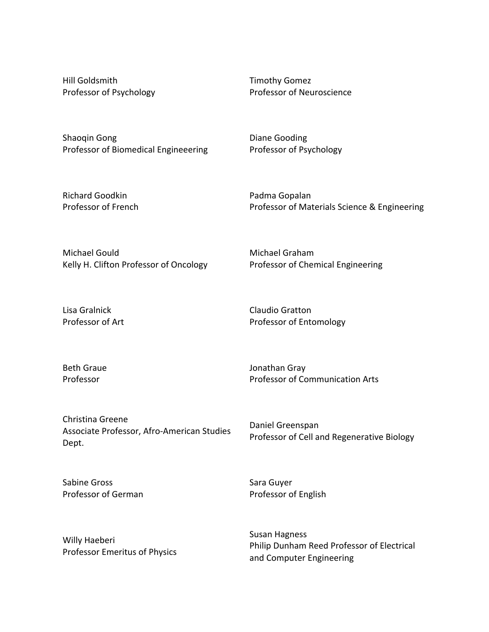Hill Goldsmith Professor of Psychology Timothy Gomez Professor of Neuroscience

Shaoqin Gong Professor of Biomedical Engineeering Diane Gooding Professor of Psychology

Richard Goodkin Professor of French Padma Gopalan Professor of Materials Science & Engineering

Michael Gould Kelly H. Clifton Professor of Oncology Michael Graham Professor of Chemical Engineering

Lisa Gralnick Professor of Art

Claudio Gratton Professor of Entomology

Beth Graue Professor

Jonathan Gray Professor of Communication Arts

Christina Greene Associate Professor, Afro-American Studies Dept.

Daniel Greenspan Professor of Cell and Regenerative Biology

Sabine Gross Professor of German Sara Guyer Professor of English

Willy Haeberi Professor Emeritus of Physics Susan Hagness Philip Dunham Reed Professor of Electrical and Computer Engineering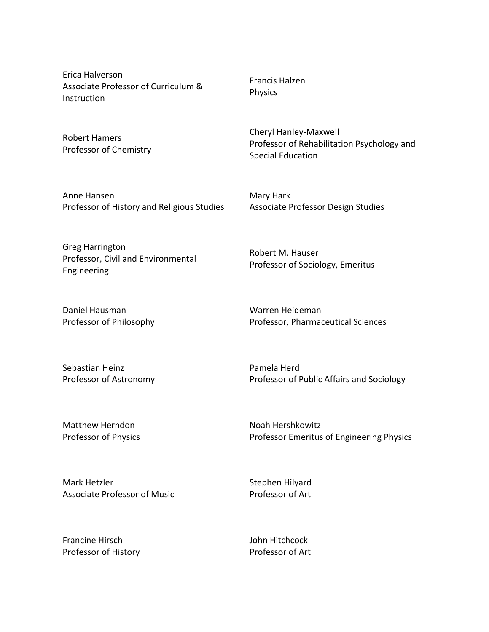Erica Halverson Associate Professor of Curriculum & Instruction

Robert Hamers Professor of Chemistry

Anne Hansen Professor of History and Religious Studies Francis Halzen Physics

Cheryl Hanley-Maxwell Professor of Rehabilitation Psychology and Special Education

Mary Hark Associate Professor Design Studies

Greg Harrington Professor, Civil and Environmental Engineering

Daniel Hausman Professor of Philosophy Professor of Sociology, Emeritus

Robert M. Hauser

Warren Heideman Professor, Pharmaceutical Sciences

Sebastian Heinz Professor of Astronomy Pamela Herd Professor of Public Affairs and Sociology

Matthew Herndon Professor of Physics Noah Hershkowitz Professor Emeritus of Engineering Physics

Mark Hetzler Associate Professor of Music Stephen Hilyard Professor of Art

Francine Hirsch Professor of History John Hitchcock Professor of Art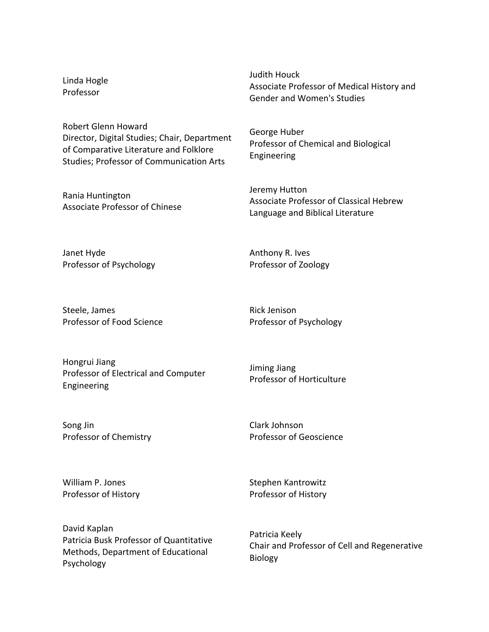Linda Hogle Professor

Judith Houck Associate Professor of Medical History and Gender and Women's Studies

Robert%Glenn Howard Director, Digital Studies; Chair, Department of Comparative Literature and Folklore Studies; Professor of Communication Arts

Rania Huntington Associate Professor of Chinese George Huber Professor of Chemical and Biological Engineering

Jeremy Hutton Associate Professor of Classical Hebrew Language and Biblical Literature

Janet Hyde Professor of Psychology

Steele, James Professor of Food Science Rick Jenison Professor of Psychology

Anthony R. Ives Professor of Zoology

Hongrui Jiang Professor of Electrical and Computer Engineering

Jiming Jiang Professor of Horticulture

Song Jin Professor of Chemistry Clark Johnson Professor of Geoscience

William P. Jones Professor of History Stephen Kantrowitz Professor of History

David Kaplan Patricia Busk Professor of Quantitative Methods, Department of Educational Psychology

Patricia Keely Chair and Professor of Cell and Regenerative Biology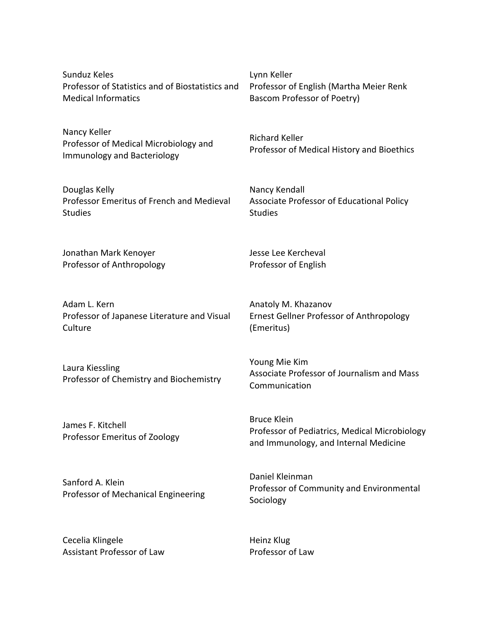Sunduz Keles Professor of Statistics and of Biostatistics and Medical Informatics

Nancy Keller Professor of Medical Microbiology and Immunology and Bacteriology

Douglas Kelly Professor Emeritus of French and Medieval **Studies** 

Jonathan Mark Kenoyer Professor of Anthropology

Adam L. Kern Professor of Japanese Literature and Visual Culture

Laura Kiessling Professor of Chemistry and Biochemistry

James F. Kitchell Professor Emeritus of Zoology

Sanford A. Klein Professor of Mechanical Engineering

Cecelia Klingele Assistant Professor of Law Lynn Keller Professor of English (Martha Meier Renk) Bascom Professor of Poetry)

Richard Keller Professor of Medical History and Bioethics

Nancy Kendall Associate Professor of Educational Policy **Studies** 

Jesse Lee Kercheval Professor of English

Anatoly M. Khazanov Ernest Gellner Professor of Anthropology (Emeritus)

Young Mie Kim Associate Professor of Journalism and Mass Communication

Bruce Klein Professor of Pediatrics, Medical Microbiology and Immunology, and Internal Medicine

Daniel Kleinman Professor of Community and Environmental Sociology

Heinz Klug Professor of Law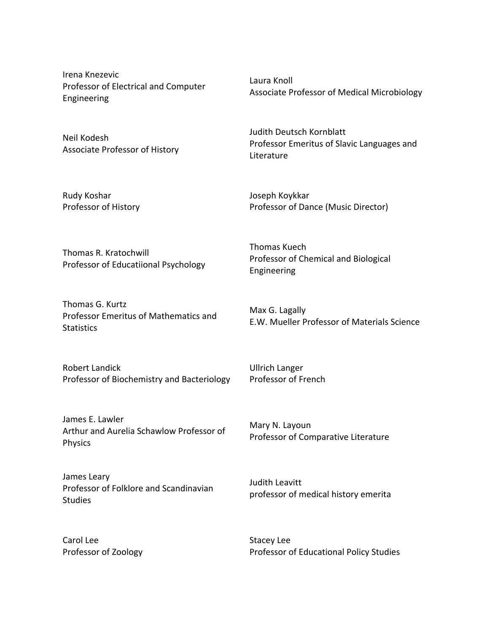Irena Knezevic Professor of Electrical and Computer Engineering

Neil Kodesh Associate Professor of History

Rudy Koshar Professor of History Laura Knoll Associate Professor of Medical Microbiology

Judith Deutsch Kornblatt Professor Emeritus of Slavic Languages and Literature

Joseph Koykkar Professor of Dance (Music Director)

Thomas R. Kratochwill Professor of Educatiional Psychology

Thomas G. Kurtz Professor Emeritus of Mathematics and **Statistics** 

Robert Landick Professor of Biochemistry and Bacteriology

James E. Lawler Arthur and Aurelia Schawlow Professor of Physics

James Leary Professor of Folklore and Scandinavian **Studies** 

Carol Lee Professor of Zoology Thomas Kuech Professor of Chemical and Biological Engineering

Max G. Lagally E.W. Mueller Professor of Materials Science

Ullrich Langer Professor of French

Mary N. Layoun Professor of Comparative Literature

Judith Leavitt professor of medical history emerita

Stacey Lee Professor of Educational Policy Studies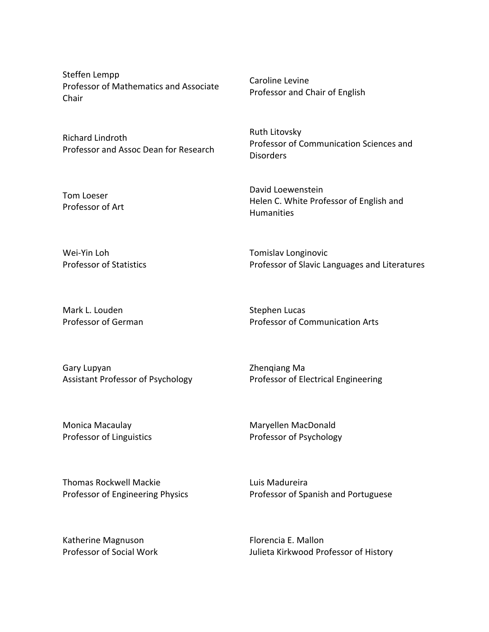Steffen Lempp Professor of Mathematics and Associate Chair

Richard Lindroth Professor and Assoc Dean for Research

Tom Loeser Professor of Art Caroline Levine Professor and Chair of English

Ruth Litovsky Professor of Communication Sciences and Disorders

David Loewenstein Helen C. White Professor of English and Humanities

Wei-Yin Loh Professor of Statistics Tomislav Longinovic Professor of Slavic Languages and Literatures

Mark L. Louden Professor of German Stephen Lucas Professor of Communication Arts

Gary Lupyan Assistant Professor of Psychology Zhenqiang Ma Professor of Electrical Engineering

Monica Macaulay Professor of Linguistics Maryellen MacDonald Professor of Psychology

Thomas Rockwell Mackie Professor of Engineering Physics Luis Madureira Professor of Spanish and Portuguese

Katherine Magnuson Professor of Social Work

Florencia E. Mallon Julieta Kirkwood Professor of History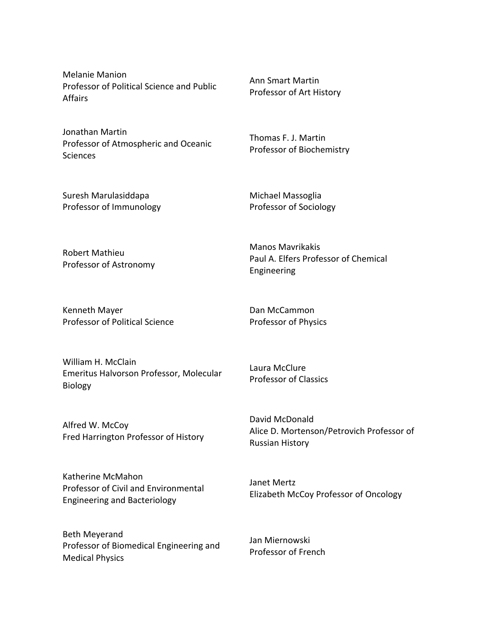Melanie Manion Professor of Political Science and Public Affairs

Jonathan Martin Professor of Atmospheric and Oceanic **Sciences** 

Ann%Smart Martin Professor of Art History

Thomas F. J. Martin Professor of Biochemistry

Suresh Marulasiddapa Professor of Immunology Michael Massoglia Professor of Sociology

Robert Mathieu Professor of Astronomy Manos Mavrikakis Paul A. Elfers Professor of Chemical Engineering

Kenneth Mayer Professor of Political Science Dan McCammon Professor of Physics

William H. McClain Emeritus Halvorson Professor, Molecular Biology

Alfred W. McCoy Fred Harrington Professor of History

Katherine McMahon Professor of Civil and Environmental Engineering and Bacteriology

Beth Meyerand Professor of Biomedical Engineering and **Medical Physics** 

Laura McClure Professor of Classics

David McDonald Alice D. Mortenson/Petrovich Professor of **Russian History** 

Janet Mertz Elizabeth McCoy Professor of Oncology

Jan Miernowski Professor of French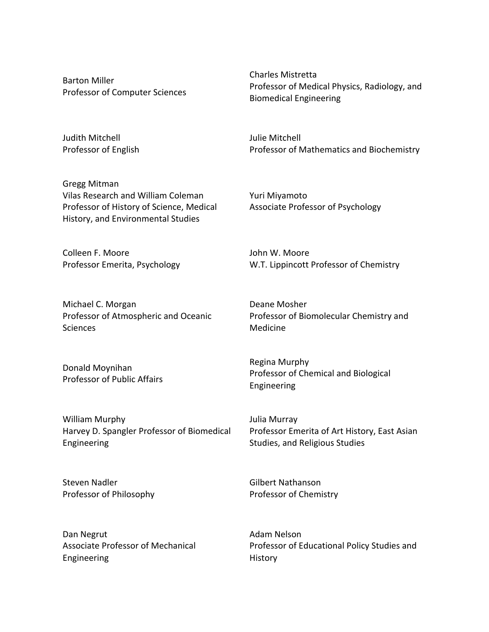Barton Miller Professor of Computer Sciences

Judith Mitchell Professor of English

Gregg Mitman Vilas Research and William Coleman Professor of History of Science, Medical History, and Environmental Studies

Colleen F. Moore Professor Emerita, Psychology

Michael C. Morgan Professor of Atmospheric and Oceanic **Sciences** 

Donald Moynihan Professor of Public Affairs

William Murphy Harvey D. Spangler Professor of Biomedical Engineering

Steven Nadler Professor of Philosophy Charles Mistretta Professor of Medical Physics, Radiology, and **Biomedical Engineering** 

Julie Mitchell Professor of Mathematics and Biochemistry

Yuri Miyamoto Associate Professor of Psychology

John W. Moore W.T. Lippincott Professor of Chemistry

Deane Mosher Professor of Biomolecular Chemistry and Medicine

Regina Murphy Professor of Chemical and Biological Engineering

Julia Murray Professor Emerita of Art History, East Asian Studies, and Religious Studies

Gilbert Nathanson Professor of Chemistry

Dan Negrut Associate Professor of Mechanical Engineering

Adam Nelson Professor of Educational Policy Studies and History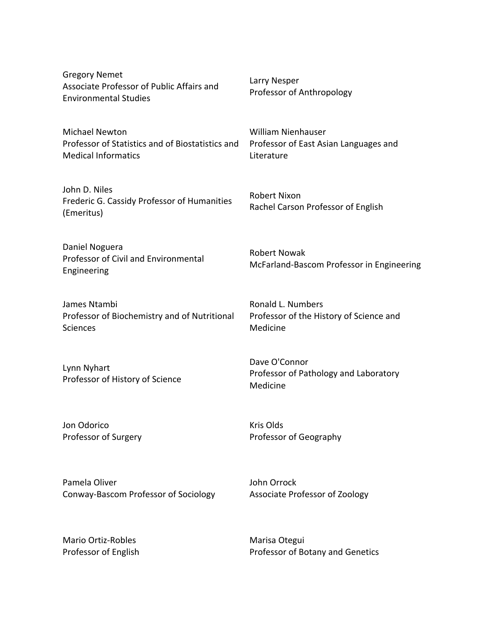Gregory Nemet Associate Professor of Public Affairs and Environmental%Studies Larry Nesper Professor of Anthropology Michael Newton Professor of Statistics and of Biostatistics and Medical Informatics William Nienhauser Professor of East Asian Languages and Literature John D. Niles Frederic G. Cassidy Professor of Humanities (Emeritus) Robert Nixon Rachel Carson Professor of English Daniel Noguera Professor of Civil and Environmental Engineering Robert Nowak McFarland-Bascom Professor in Engineering James Ntambi Professor of Biochemistry and of Nutritional **Sciences** Ronald L. Numbers Professor of the History of Science and Medicine Lynn Nyhart Professor of History of Science Dave O'Connor Professor of Pathology and Laboratory Medicine Jon Odorico Professor of Surgery Kris Olds Professor of Geography

Pamela Oliver Conway-Bascom Professor of Sociology John Orrock Associate Professor of Zoology

Mario Ortiz-Robles Professor of English Marisa Otegui Professor of Botany and Genetics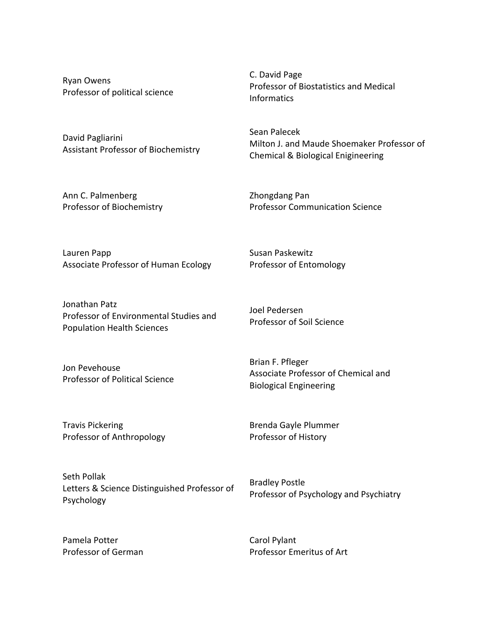Ryan Owens Professor of political science

David Pagliarini Assistant Professor of Biochemistry

Ann C. Palmenberg Professor of Biochemistry C. David Page Professor of Biostatistics and Medical Informatics

Sean Palecek Milton J. and Maude Shoemaker Professor of Chemical & Biological Enigineering

Zhongdang Pan **Professor Communication Science** 

Lauren Papp Associate Professor of Human Ecology

Jonathan Patz Professor of Environmental Studies and Population Health Sciences

Jon Pevehouse Professor of Political Science Joel Pedersen Professor of Soil Science

Professor of Entomology

Susan Paskewitz

Brian F. Pfleger Associate Professor of Chemical and Biological Engineering

Travis Pickering Professor of Anthropology Brenda%Gayle Plummer Professor of History

Seth Pollak Letters & Science Distinguished Professor of Psychology

Bradley Postle Professor of Psychology and Psychiatry

Pamela Potter Professor of German Carol Pylant Professor Emeritus of Art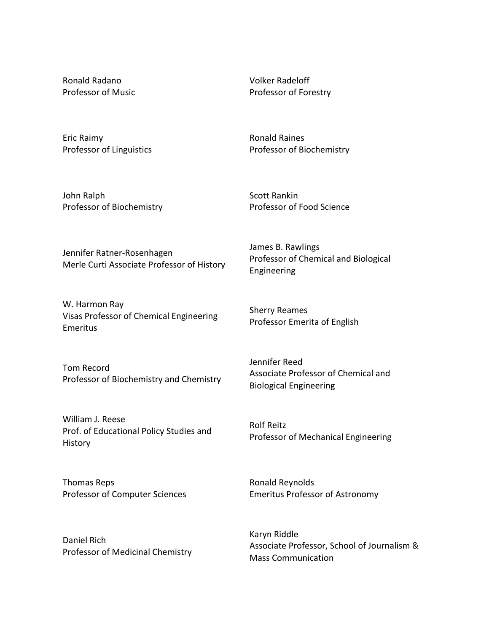Ronald Radano Professor of Music Volker Radeloff Professor of Forestry

Eric Raimy Professor of Linguistics Ronald Raines Professor of Biochemistry

John Ralph Professor of Biochemistry Scott Rankin Professor of Food Science

Jennifer Ratner-Rosenhagen Merle Curti Associate Professor of History

W. Harmon Ray Visas Professor of Chemical Engineering Emeritus

Tom Record Professor of Biochemistry and Chemistry

William J. Reese Prof. of Educational Policy Studies and History

Thomas Reps Professor of Computer Sciences James B. Rawlings Professor of Chemical and Biological Engineering

Sherry Reames Professor Emerita of English

Jennifer Reed Associate Professor of Chemical and Biological Engineering

Rolf Reitz Professor of Mechanical Engineering

Ronald Reynolds Emeritus Professor of Astronomy

Daniel Rich Professor of Medicinal Chemistry Karyn Riddle Associate Professor, School of Journalism & **Mass Communication**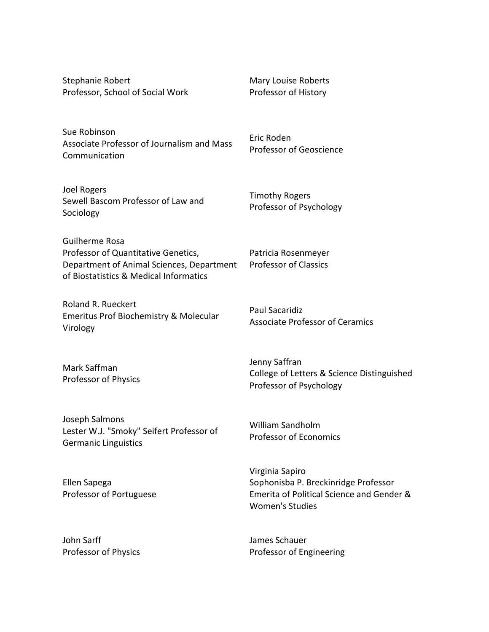| Stephanie Robert<br>Professor, School of Social Work                                                                                         | <b>Mary Louise Roberts</b><br>Professor of History                                                                             |
|----------------------------------------------------------------------------------------------------------------------------------------------|--------------------------------------------------------------------------------------------------------------------------------|
| Sue Robinson<br>Associate Professor of Journalism and Mass<br>Communication                                                                  | Eric Roden<br>Professor of Geoscience                                                                                          |
| Joel Rogers<br>Sewell Bascom Professor of Law and<br>Sociology                                                                               | <b>Timothy Rogers</b><br>Professor of Psychology                                                                               |
| Guilherme Rosa<br>Professor of Quantitative Genetics,<br>Department of Animal Sciences, Department<br>of Biostatistics & Medical Informatics | Patricia Rosenmeyer<br><b>Professor of Classics</b>                                                                            |
| Roland R. Rueckert<br>Emeritus Prof Biochemistry & Molecular<br>Virology                                                                     | <b>Paul Sacaridiz</b><br><b>Associate Professor of Ceramics</b>                                                                |
| Mark Saffman<br>Professor of Physics                                                                                                         | Jenny Saffran<br>College of Letters & Science Distinguished<br>Professor of Psychology                                         |
| Joseph Salmons<br>Lester W.J. "Smoky" Seifert Professor of<br><b>Germanic Linguistics</b>                                                    | William Sandholm<br><b>Professor of Economics</b>                                                                              |
| Ellen Sapega<br>Professor of Portuguese                                                                                                      | Virginia Sapiro<br>Sophonisba P. Breckinridge Professor<br>Emerita of Political Science and Gender &<br><b>Women's Studies</b> |

John Sarff

Professor of Physics

James Schauer Professor of Engineering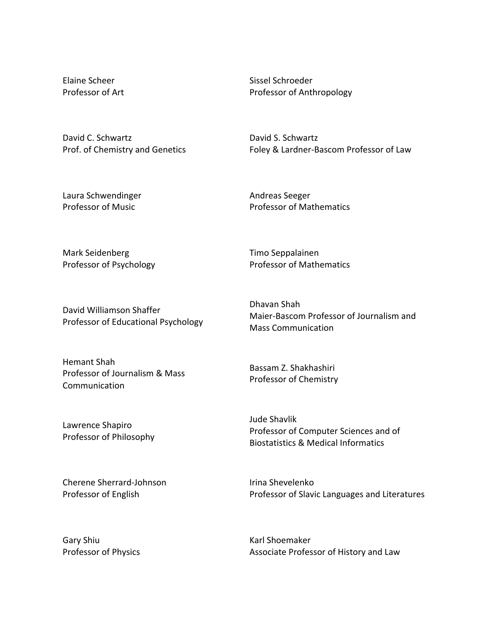Elaine Scheer Professor of Art Sissel Schroeder Professor of Anthropology

David C. Schwartz Prof. of Chemistry and Genetics David S. Schwartz Foley & Lardner-Bascom Professor of Law

Laura Schwendinger Professor of Music

Andreas Seeger Professor of Mathematics

Professor of Mathematics

Mark Seidenberg Professor of Psychology

Timo Seppalainen

David%Williamson Shaffer Professor of Educational Psychology

Hemant Shah Professor of Journalism & Mass Communication

Lawrence Shapiro Professor of Philosophy

Cherene Sherrard-Johnson Professor of English

Dhavan Shah Maier-Bascom Professor of Journalism and **Mass Communication** 

Bassam Z. Shakhashiri Professor of Chemistry

Jude Shavlik Professor of Computer Sciences and of Biostatistics & Medical Informatics

Irina Shevelenko Professor of Slavic Languages and Literatures

Gary Shiu Professor of Physics Karl Shoemaker Associate Professor of History and Law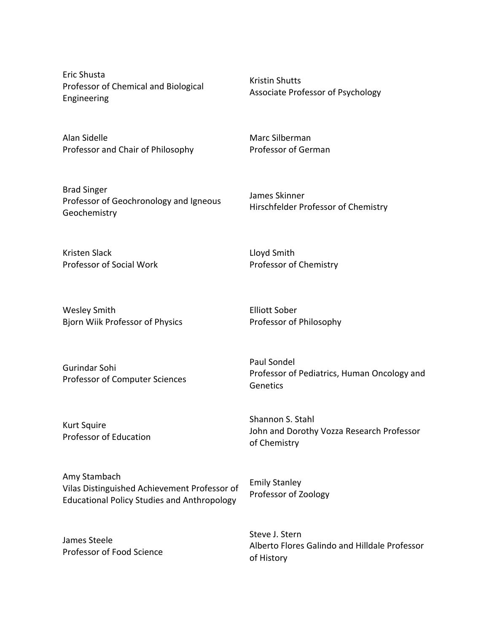Eric Shusta Professor of Chemical and Biological Engineering

Alan Sidelle Professor and Chair of Philosophy

Brad Singer Professor of Geochronology and Igneous **Geochemistry** 

Kristin Shutts Associate Professor of Psychology

Marc Silberman Professor of German

James Skinner Hirschfelder Professor of Chemistry

Kristen Slack Professor of Social Work

Wesley Smith Bjorn Wiik Professor of Physics Elliott Sober Professor of Philosophy

Professor of Chemistry

Lloyd Smith

Emily Stanley

Professor of Zoology

Gurindar Sohi Professor of Computer Sciences

Kurt Squire Professor of Education Paul Sondel Professor of Pediatrics, Human Oncology and Genetics

Shannon S. Stahl John and Dorothy Vozza Research Professor of Chemistry

Amy Stambach Vilas Distinguished Achievement Professor of Educational Policy Studies and Anthropology

James Steele Professor of Food Science Steve J. Stern Alberto Flores Galindo and Hilldale Professor of History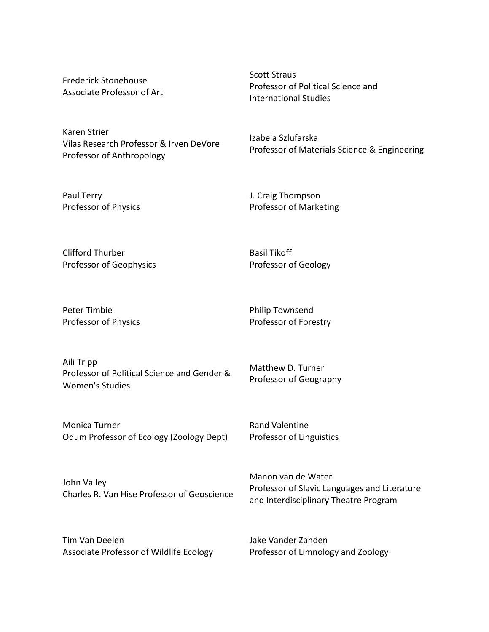Frederick Stonehouse Associate Professor of Art

Karen Strier Vilas Research Professor & Irven DeVore Professor of Anthropology

Scott Straus Professor of Political Science and International Studies

Izabela Szlufarska Professor of Materials Science & Engineering

J. Craig Thompson Professor of Marketing

Clifford Thurber Professor of Geophysics

Professor of Physics

Paul Terry

Basil Tikoff Professor of Geology

Peter Timbie Professor of Physics

Philip Townsend Professor of Forestry

Aili Tripp Professor of Political Science and Gender & Women's Studies

Matthew D. Turner Professor of Geography

Monica Turner Odum Professor of Ecology (Zoology Dept) Rand Valentine Professor of Linguistics

John Valley Charles R. Van Hise Professor of Geoscience Manon van de Water Professor of Slavic Languages and Literature and Interdisciplinary Theatre Program

Tim Van%Deelen Associate Professor of Wildlife Ecology Jake Vander Zanden Professor of Limnology and Zoology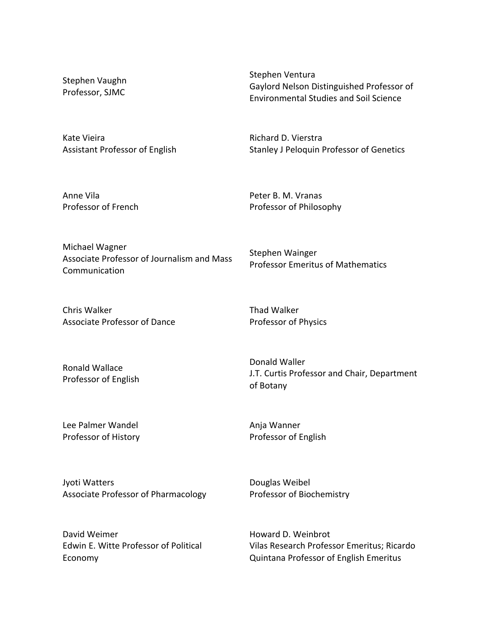Stephen Vaughn Professor, SJMC

Stephen Ventura Gaylord Nelson Distinguished Professor of Environmental Studies and Soil Science

Kate Vieira Assistant Professor of English Richard D. Vierstra Stanley J Peloquin Professor of Genetics

Professor Emeritus of Mathematics

Anne Vila Professor of French Peter B. M. Vranas Professor of Philosophy

Michael Wagner Associate Professor of Journalism and Mass Communication

Chris Walker Associate Professor of Dance Thad Walker Professor of Physics

Stephen Wainger

Ronald Wallace Professor of English

Donald Waller J.T. Curtis Professor and Chair, Department of Botany

Lee Palmer Wandel Professor of History Anja Wanner Professor of English

Jyoti Watters Associate Professor of Pharmacology Douglas Weibel Professor of Biochemistry

David Weimer Edwin E. Witte Professor of Political Economy

Howard D. Weinbrot Vilas Research Professor Emeritus; Ricardo Quintana Professor of English Emeritus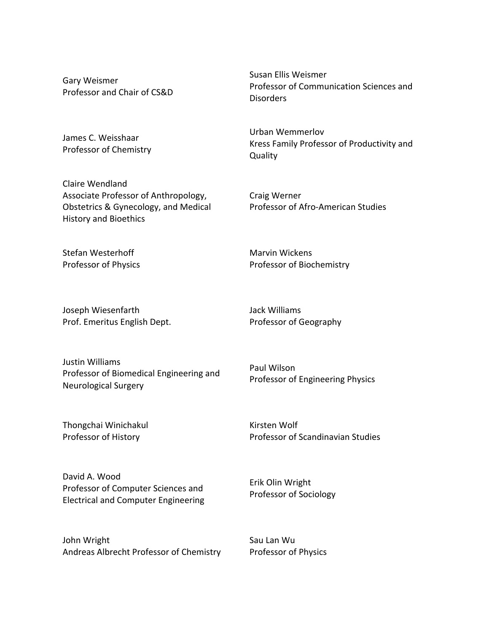Gary Weismer Professor and Chair of CS&D

James C. Weisshaar Professor of Chemistry

Claire Wendland Associate Professor of Anthropology, Obstetrics & Gynecology, and Medical History and Bioethics

Stefan Westerhoff Professor of Physics

Joseph Wiesenfarth Prof. Emeritus English Dept. Professor of Communication Sciences and Disorders

Urban Wemmerlov Kress Family Professor of Productivity and **Quality** 

Craig Werner Professor of Afro-American Studies

Marvin Wickens Professor of Biochemistry

Susan%Ellis Weismer

Jack Williams Professor of Geography

Justin Williams Professor of Biomedical Engineering and Neurological Surgery

Paul Wilson Professor of Engineering Physics

Thongchai Winichakul Professor of History

Kirsten Wolf Professor of Scandinavian Studies

David A. Wood Professor of Computer Sciences and Electrical and Computer Engineering

John Wright Andreas Albrecht Professor of Chemistry Erik%Olin Wright Professor of Sociology

Sau Lan Wu Professor of Physics